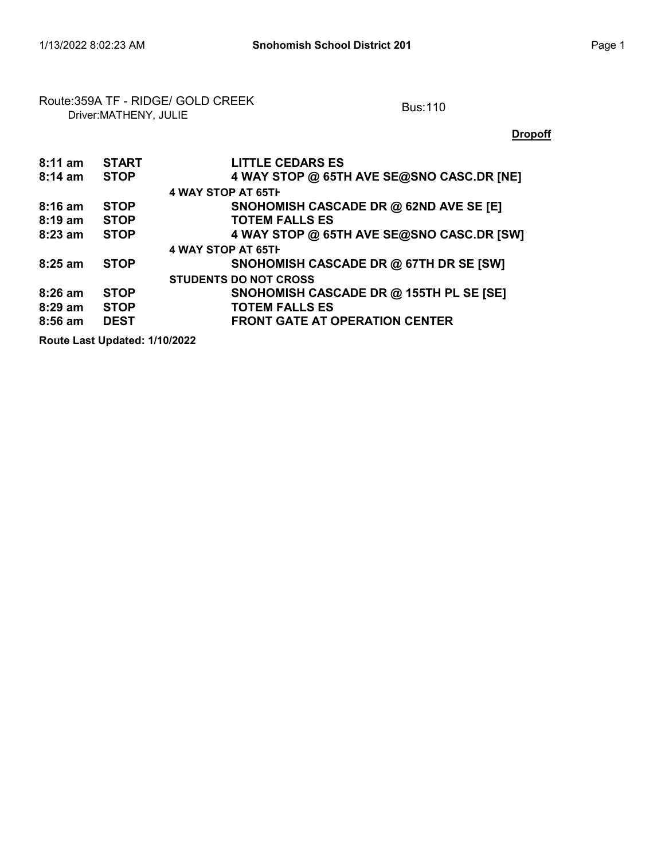## Route:359A TF - RIDGE/ GOLD CREEK<br>Driver:MATHENY, JULIE

**Dropoff** 

| $8:11$ am                     | <b>START</b> | <b>LITTLE CEDARS ES</b>                   |  |  |
|-------------------------------|--------------|-------------------------------------------|--|--|
| $8:14$ am                     | <b>STOP</b>  | 4 WAY STOP @ 65TH AVE SE@SNO CASC.DR [NE] |  |  |
|                               |              | 4 WAY STOP AT 65TH                        |  |  |
| $8:16$ am                     | <b>STOP</b>  | SNOHOMISH CASCADE DR @ 62ND AVE SE [E]    |  |  |
| $8:19 \text{ am}$             | <b>STOP</b>  | <b>TOTEM FALLS ES</b>                     |  |  |
| $8:23$ am                     | <b>STOP</b>  | 4 WAY STOP @ 65TH AVE SE@SNO CASC.DR [SW] |  |  |
|                               |              | 4 WAY STOP AT 65TH                        |  |  |
| $8:25$ am                     | <b>STOP</b>  | SNOHOMISH CASCADE DR @ 67TH DR SE [SW]    |  |  |
|                               |              | <b>STUDENTS DO NOT CROSS</b>              |  |  |
| $8:26$ am                     | <b>STOP</b>  | SNOHOMISH CASCADE DR @ 155TH PL SE [SE]   |  |  |
| $8:29$ am                     | <b>STOP</b>  | <b>TOTEM FALLS ES</b>                     |  |  |
| $8:56$ am                     | <b>DEST</b>  | <b>FRONT GATE AT OPERATION CENTER</b>     |  |  |
| Route Last Updated: 1/10/2022 |              |                                           |  |  |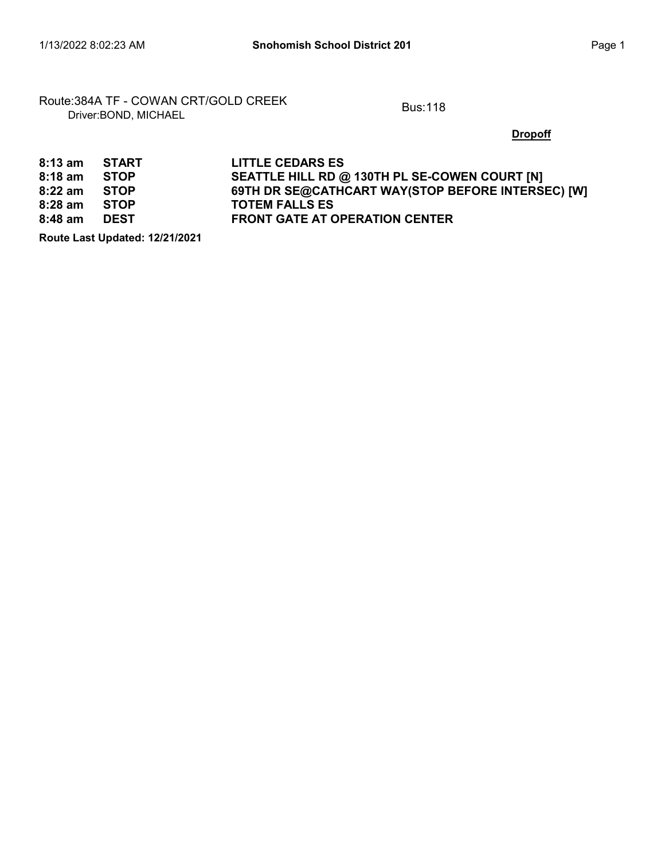Route:384A TF - COWAN CRT/GOLD CREEK<br>Driver:BOND, MICHAEL

**Dropoff** 

| $8:13$ am | START       | <b>LITTLE CEDARS ES</b>                           |
|-----------|-------------|---------------------------------------------------|
| $8:18$ am | <b>STOP</b> | SEATTLE HILL RD @ 130TH PL SE-COWEN COURT [N]     |
| $8:22$ am | <b>STOP</b> | 69TH DR SE@CATHCART WAY(STOP BEFORE INTERSEC) [W] |
| $8:28$ am | STOP        | <b>TOTEM FALLS ES</b>                             |
| $8:48$ am | DEST        | <b>FRONT GATE AT OPERATION CENTER</b>             |

Route Last Updated: 12/21/2021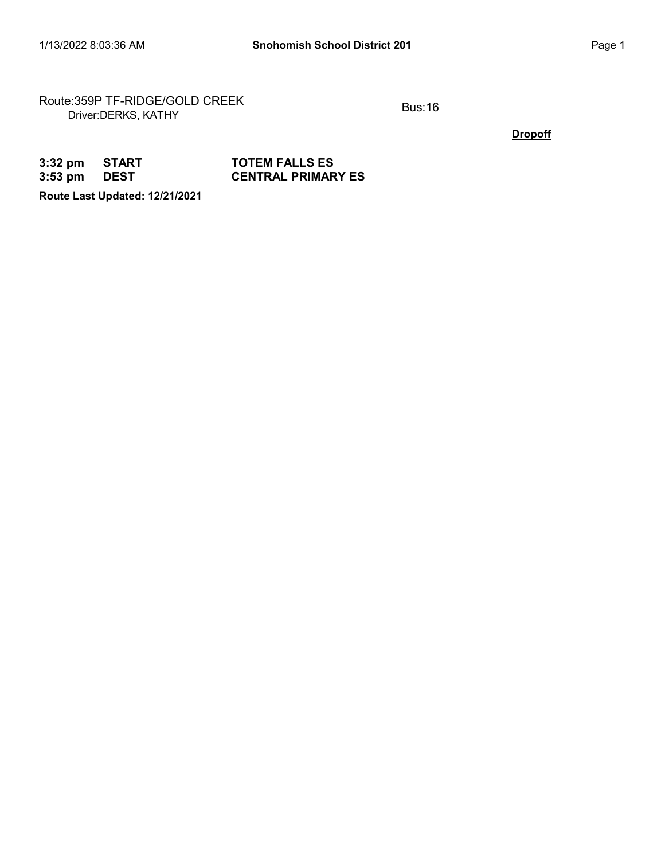Route:359P TF-RIDGE/GOLD CREEK<br>Driver:DERKS, KATHY

**Dropoff** 

| 3:32 pm START |      | <b>TOTEM FALLS ES</b>     |
|---------------|------|---------------------------|
| 3:53 pm       | DEST | <b>CENTRAL PRIMARY ES</b> |

Route Last Updated: 12/21/2021